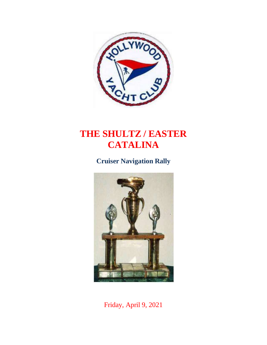

# **THE SHULTZ / EASTER CATALINA**

**Cruiser Navigation Rally**



Friday, April 9, 2021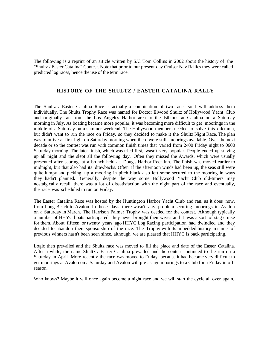The following is a reprint of an article written by S/C Tom Collins in 2002 about the history of the "Shultz / Easter Catalina" Contest. Note that prior to our present-day Cruiser Nav Rallies they were called predicted log races, hence the use of the term race.

#### **HISTORY OF THE SHULTZ / EASTER CATALINA RALLY**

The Shultz / Easter Catalina Race is actually a combination of two races so I will address them individually. The Shultz Trophy Race was named for Doctor Elwood Shultz of Hollywood Yacht Club and originally ran from the Los Angeles Harbor area to the Isthmus at Catalina on a Saturday morning in July. As boating became more popular, it was becoming more difficult to get moorings in the middle of a Saturday on a summer weekend. The Hollywood members needed to solve this dilemma, but didn't want to run the race on Friday, so they decided to make it the Shultz Night Race. The plan was to arrive at first light on Saturday morning when there were still moorings available. Over the next decade or so the contest was run with common finish times that varied from 2400 Friday night to 0600 Saturday morning. The later finish, which was tried first, wasn't very popular. People ended up staying up all night and the slept all the following day. Often they missed the Awards, which were usually presented after scoring, at a brunch held at Doug's Harbor Reef Inn. The finish was moved earlier to midnight, but that also had its drawbacks. Often, if the afternoon winds had been up, the seas still were quite lumpy and picking up a mooring in pitch black also left some secured to the mooring in ways they hadn't planned. Generally, despite the way some Hollywood Yacht Club old-timers may nostalgically recall, there was a lot of dissatisfaction with the night part of the race and eventually, the race was scheduled to run on Friday.

The Easter Catalina Race was hosted by the Huntington Harbor Yacht Club and ran, as it does now, from Long Beach to Avalon. In those days, there wasn't any problem securing moorings in Avalon on a Saturday in March. The Harrison Palmer Trophy was deeded for the contest. Although typically a number of HHYC boats participated, they never brought their wives and it was a sort of stag cruise for them. About fifteen or twenty years ago HHYC Log Racing participation had dwindled and they decided to abandon their sponsorship of the race. The Trophy with its imbedded history in names of previous winners hasn't been seen since, although we are pleased that HHYC is back participating.

Logic then prevailed and the Shultz race was moved to fill the place and date of the Easter Catalina. After a while, the name Shultz / Easter Catalina prevailed and the contest continued to be run on a Saturday in April. More recently the race was moved to Friday because it had become very difficult to get moorings at Avalon on a Saturday and Avalon will pre-assign moorings to a Club for a Friday in offseason.

Who knows? Maybe it will once again become a night race and we will start the cycle all over again.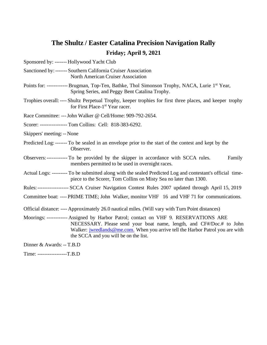## **The Shultz / Easter Catalina Precision Navigation Rally Friday; April 9, 2021**

Sponsored by: ------- Hollywood Yacht Club

Sanctioned by:------- Southern California Cruiser Association North American Cruiser Association

- Points for: ------------ Brugman, Top-Ten, Bathke, Thol Simonson Trophy, NACA, Lurie 1<sup>st</sup> Year, Spring Series, and Peggy Bent Catalina Trophy.
- Trophies overall:---- Shultz Perpetual Trophy, keeper trophies for first three places, and keeper trophy for First Place-1<sup>st</sup> Year racer.

Race Committee: ---John Walker @ Cell/Home: 909-792-2654.

Scorer: ---------------- Tom Collins: Cell: 818-383-6292.

Skippers' meeting:-- None

- Predicted Log:------- To be sealed in an envelope prior to the start of the contest and kept by the Observer.
- Observers:------------ To be provided by the skipper in accordance with SCCA rules. Family members permitted to be used in overnight races.
- Actual Logs: --------- To be submitted along with the sealed Predicted Log and contestant's official timepiece to the Scorer, Tom Collins on Misty Sea no later than 1300.
- Rules:------------------ SCCA Cruiser Navigation Contest Rules 2007 updated through April 15, 2019
- Committee boat: ---- PRIME TIME; John Walker, monitor VHF 16 and VHF 71 for communications.
- Official distance: ---- Approximately 26.0 nautical miles. (Will vary with Turn Point distances)
- Moorings: ------------ Assigned by Harbor Patrol; contact on VHF 9. RESERVATIONS ARE NECESSARY. Please send your boat name, length, and CF#/Doc.# to John Walker: [jwredlands@me.com.](mailto:jwredlands@me.com.) When you arrive tell the Harbor Patrol you are with the SCCA and you will be on the list.

Dinner & Awards: -- T.B.D

Time: -----------------T.B.D